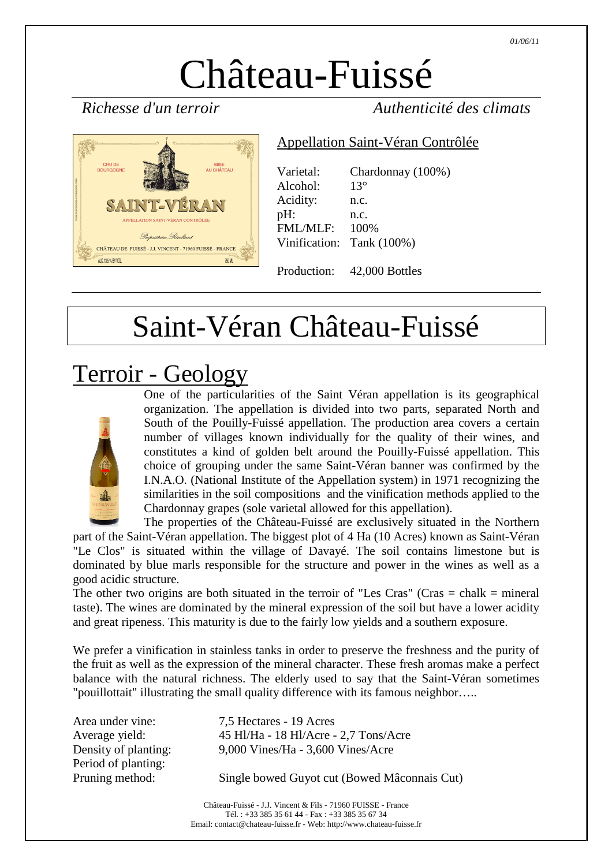# Château-Fuissé

*Richesse d'un terroir Authenticité des climats* 



#### Appellation Saint-Véran Contrôlée

| Varietal:<br>Alcohol: | Chardonnay (100%)<br>$13^{\circ}$ |
|-----------------------|-----------------------------------|
| Acidity:              | n.c.                              |
| pH:                   | n.c.                              |
| <b>FML/MLF:</b>       | 100%                              |
|                       | Vinification: Tank (100%)         |
|                       |                                   |

Production: 42,000 Bottles

## Saint-Véran Château-Fuissé

#### Terroir - Geology



One of the particularities of the Saint Véran appellation is its geographical organization. The appellation is divided into two parts, separated North and South of the Pouilly-Fuissé appellation. The production area covers a certain number of villages known individually for the quality of their wines, and constitutes a kind of golden belt around the Pouilly-Fuissé appellation. This choice of grouping under the same Saint-Véran banner was confirmed by the I.N.A.O. (National Institute of the Appellation system) in 1971 recognizing the similarities in the soil compositions and the vinification methods applied to the Chardonnay grapes (sole varietal allowed for this appellation).

The properties of the Château-Fuissé are exclusively situated in the Northern part of the Saint-Véran appellation. The biggest plot of 4 Ha (10 Acres) known as Saint-Véran "Le Clos" is situated within the village of Davayé. The soil contains limestone but is dominated by blue marls responsible for the structure and power in the wines as well as a good acidic structure.

The other two origins are both situated in the terroir of "Les Cras" (Cras  $=$  chalk  $=$  mineral taste). The wines are dominated by the mineral expression of the soil but have a lower acidity and great ripeness. This maturity is due to the fairly low yields and a southern exposure.

We prefer a vinification in stainless tanks in order to preserve the freshness and the purity of the fruit as well as the expression of the mineral character. These fresh aromas make a perfect balance with the natural richness. The elderly used to say that the Saint-Véran sometimes "pouillottait" illustrating the small quality difference with its famous neighbor…..

| Area under vine:     | 7,5 Hectares - 19 Acres                      |
|----------------------|----------------------------------------------|
| Average yield:       | 45 Hl/Ha - 18 Hl/Acre - 2,7 Tons/Acre        |
| Density of planting: | 9,000 Vines/Ha - 3,600 Vines/Acre            |
| Period of planting:  |                                              |
| Pruning method:      | Single bowed Guyot cut (Bowed Mâconnais Cut) |
|                      |                                              |